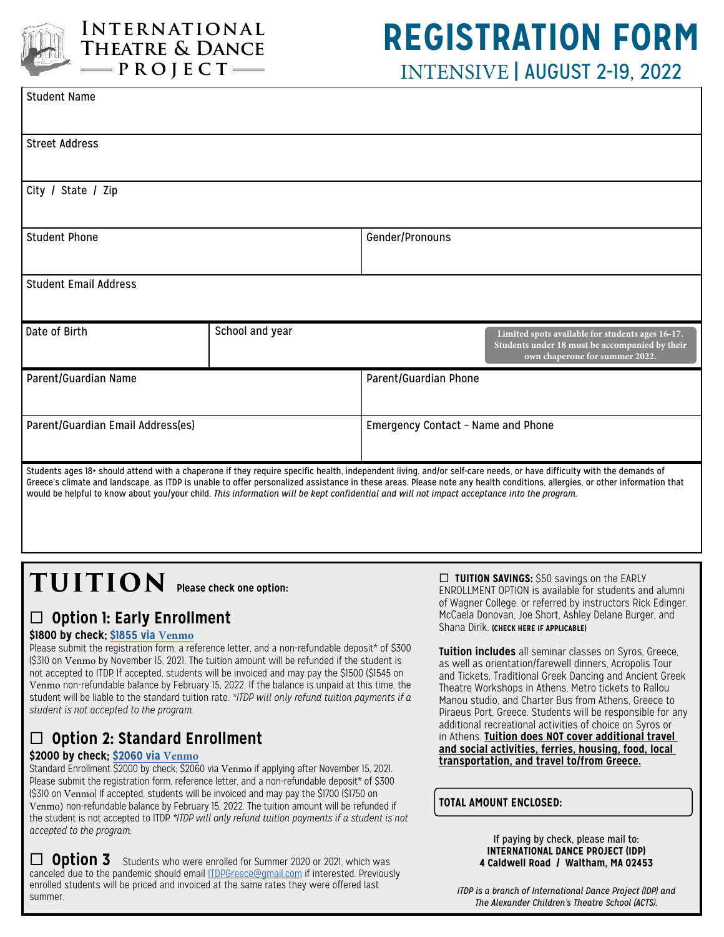

### **International Theatre & Dance**  $=$ **PROJECT** $=$

## **REGISTRATION FORM** INTENSIVE | AUGUST 2-19, 2022

| <b>Student Name</b>                                                                                                                                                                                                                                                                                                                                                                                                                                                                              |                 |                                    |                                                                                                                                      |
|--------------------------------------------------------------------------------------------------------------------------------------------------------------------------------------------------------------------------------------------------------------------------------------------------------------------------------------------------------------------------------------------------------------------------------------------------------------------------------------------------|-----------------|------------------------------------|--------------------------------------------------------------------------------------------------------------------------------------|
| <b>Street Address</b>                                                                                                                                                                                                                                                                                                                                                                                                                                                                            |                 |                                    |                                                                                                                                      |
| City / State / Zip                                                                                                                                                                                                                                                                                                                                                                                                                                                                               |                 |                                    |                                                                                                                                      |
| <b>Student Phone</b>                                                                                                                                                                                                                                                                                                                                                                                                                                                                             |                 | Gender/Pronouns                    |                                                                                                                                      |
| <b>Student Email Address</b>                                                                                                                                                                                                                                                                                                                                                                                                                                                                     |                 |                                    |                                                                                                                                      |
| Date of Birth                                                                                                                                                                                                                                                                                                                                                                                                                                                                                    | School and year |                                    | Limited spots available for students ages 16-17.<br>Students under 18 must be accompanied by their<br>own chaperone for summer 2022. |
| Parent/Guardian Name                                                                                                                                                                                                                                                                                                                                                                                                                                                                             |                 | Parent/Guardian Phone              |                                                                                                                                      |
| Parent/Guardian Email Address(es)                                                                                                                                                                                                                                                                                                                                                                                                                                                                |                 | Emergency Contact - Name and Phone |                                                                                                                                      |
| Students ages 18+ should attend with a chaperone if they require specific health, independent living, and/or self-care needs, or have difficulty with the demands of<br>Greece's climate and landscape, as ITDP is unable to offer personalized assistance in these areas. Please note any health conditions, allergies, or other information that<br>would be helpful to know about you/your child. This information will be kept confidential and will not impact acceptance into the program. |                 |                                    |                                                                                                                                      |

# **TUITION Please check one option:**

## □ Option 1: Early Enrollment

#### **\$1800 by check; [\\$1855 via](https://account.venmo.com/u/itdpgreece) Venmo**

Please submit the registration form, a reference letter, and a non-refundable deposit\* of \$300 (\$310 on Venmo by November 15, 2021. The tuition amount will be refunded if the student is not accepted to ITDP. If accepted, students will be invoiced and may pay the \$1500 (\$1545 on Venmo non-refundable balance by February 15, 2022. If the balance is unpaid at this time, the student will be liable to the standard tuition rate. *\*ITDP will only refund tuition payments if a student is not accepted to the program.*

## ¨ **Option 2: Standard Enrollment**

#### **\$2000 by check; [\\$2060 via](https://account.venmo.com/u/itdpgreece) Venmo**

Standard Enrollment \$2000 by check; \$2060 via Venmo if applying after November 15, 2021. Please submit the registration form, reference letter, and a non-refundable deposit\* of \$300 (\$310 on Venmo) If accepted, students will be invoiced and may pay the \$1700 (\$1750 on Venmo) non-refundable balance by February 15, 2022. The tuition amount will be refunded if the student is not accepted to ITDP. *\*ITDP will only refund tuition payments if a student is not accepted to the program.*

**D** Option 3 Students who were enrolled for Summer 2020 or 2021, which was canceled due to the pandemic should email [ITDPGreece@gmail.com](mailto:ITDPGreece@gmail.com) if interested. Previously enrolled students will be priced and invoiced at the same rates they were offered last summer.

□ **TUITION SAVINGS:** \$50 savings on the EARLY ENROLLMENT OPTION is available for students and alumni of Wagner College, or referred by instructors Rick Edinger, McCaela Donovan, Joe Short, Ashley Delane Burger, and Shana Dirik. **(CHECK HERE IF APPLICABLE)**

**Tuition includes** all seminar classes on Syros, Greece, as well as orientation/farewell dinners, Acropolis Tour and Tickets, Traditional Greek Dancing and Ancient Greek Theatre Workshops in Athens, Metro tickets to Rallou Manou studio, and Charter Bus from Athens, Greece to Piraeus Port, Greece. Students will be responsible for any additional recreational activities of choice on Syros or in Athens. **Tuition does NOT cover additional travel and social activities, ferries, housing, food, local transportation, and travel to/from Greece.**

#### **TOTAL AMOUNT ENCLOSED:**

If paying by check, please mail to: **INTERNATIONAL DANCE PROJECT (IDP) 4 Caldwell Road / Waltham, MA 02453**

*ITDP is a branch of International Dance Project (IDP) and The Alexander Children's Theatre School (ACTS).*